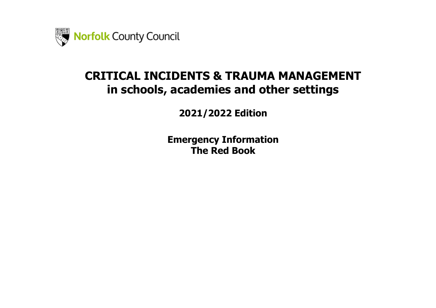

# **CRITICAL INCIDENTS & TRAUMA MANAGEMENT in schools, academies and other settings**

**2021/2022 Edition**

**Emergency Information The Red Book**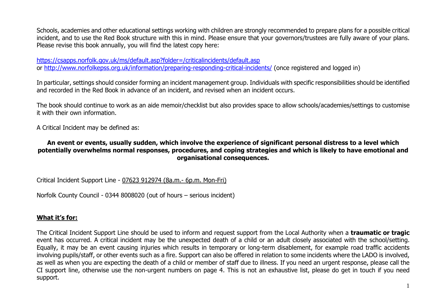Schools, academies and other educational settings working with children are strongly recommended to prepare plans for a possible critical incident, and to use the Red Book structure with this in mind. Please ensure that your governors/trustees are fully aware of your plans. Please revise this book annually, you will find the latest copy here:

<https://csapps.norfolk.gov.uk/ms/default.asp?folder=/criticalincidents/default.asp> or<http://www.norfolkepss.org.uk/information/preparing-responding-critical-incidents/> (once registered and logged in)

In particular, settings should consider forming an incident management group. Individuals with specific responsibilities should be identified and recorded in the Red Book in advance of an incident, and revised when an incident occurs.

The book should continue to work as an aide memoir/checklist but also provides space to allow schools/academies/settings to customise it with their own information.

A Critical Incident may be defined as:

## **An event or events, usually sudden, which involve the experience of significant personal distress to a level which potentially overwhelms normal responses, procedures, and coping strategies and which is likely to have emotional and organisational consequences.**

Critical Incident Support Line - 07623 912974 (8a.m.- 6p.m. Mon-Fri)

Norfolk County Council - 0344 8008020 (out of hours – serious incident)

# **What it's for:**

The Critical Incident Support Line should be used to inform and request support from the Local Authority when a **traumatic or tragic**  event has occurred. A critical incident may be the unexpected death of a child or an adult closely associated with the school/setting. Equally, it may be an event causing injuries which results in temporary or long-term disablement, for example road traffic accidents involving pupils/staff, or other events such as a fire. Support can also be offered in relation to some incidents where the LADO is involved, as well as when you are expecting the death of a child or member of staff due to illness. If you need an urgent response, please call the CI support line, otherwise use the non-urgent numbers on page 4. This is not an exhaustive list, please do get in touch if you need support.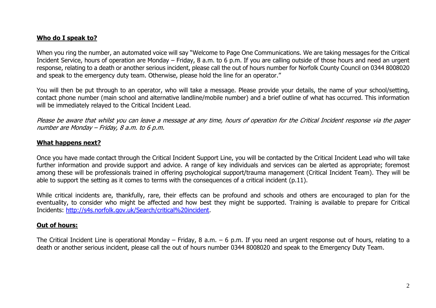## **Who do I speak to?**

When you ring the number, an automated voice will say "Welcome to Page One Communications. We are taking messages for the Critical Incident Service, hours of operation are Monday – Friday, 8 a.m. to 6 p.m. If you are calling outside of those hours and need an urgent response, relating to a death or another serious incident, please call the out of hours number for Norfolk County Council on 0344 8008020 and speak to the emergency duty team. Otherwise, please hold the line for an operator."

You will then be put through to an operator, who will take a message. Please provide your details, the name of your school/setting, contact phone number (main school and alternative landline/mobile number) and a brief outline of what has occurred. This information will be immediately relayed to the Critical Incident Lead.

Please be aware that whilst you can leave a message at any time, hours of operation for the Critical Incident response via the pager number are Monday – Friday, 8 a.m. to 6 p.m.

#### **What happens next?**

Once you have made contact through the Critical Incident Support Line, you will be contacted by the Critical Incident Lead who will take further information and provide support and advice. A range of key individuals and services can be alerted as appropriate; foremost among these will be professionals trained in offering psychological support/trauma management (Critical Incident Team). They will be able to support the setting as it comes to terms with the consequences of a critical incident (p.11).

While critical incidents are, thankfully, rare, their effects can be profound and schools and others are encouraged to plan for the eventuality, to consider who might be affected and how best they might be supported. Training is available to prepare for Critical Incidents: [http://s4s.norfolk.gov.uk/Search/critical%20incident.](http://s4s.norfolk.gov.uk/Search/critical%20incident)

#### **Out of hours:**

The Critical Incident Line is operational Monday – Friday, 8 a.m. – 6 p.m. If you need an urgent response out of hours, relating to a death or another serious incident, please call the out of hours number 0344 8008020 and speak to the Emergency Duty Team.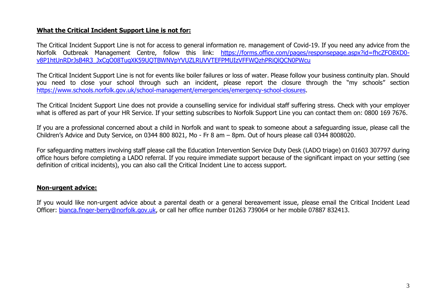## **What the Critical Incident Support Line is not for:**

The Critical Incident Support Line is not for access to general information re. management of Covid-19. If you need any advice from the Norfolk Outbreak Management Centre, follow this link: [https://forms.office.com/pages/responsepage.aspx?id=fhcZFOBXD0](https://forms.office.com/pages/responsepage.aspx?id=fhcZFOBXD0-v8P1htUnRDrJsB4R3_JxCgO08TugXK59UQTBWNVpYVUZLRUVVTEFPMUIzVFFWQzhPRiQlQCN0PWcu) [v8P1htUnRDrJsB4R3\\_JxCgO08TugXK59UQTBWNVpYVUZLRUVVTEFPMUIzVFFWQzhPRiQlQCN0PWcu](https://forms.office.com/pages/responsepage.aspx?id=fhcZFOBXD0-v8P1htUnRDrJsB4R3_JxCgO08TugXK59UQTBWNVpYVUZLRUVVTEFPMUIzVFFWQzhPRiQlQCN0PWcu)

The Critical Incident Support Line is not for events like boiler failures or loss of water. Please follow your business continuity plan. Should you need to close your school through such an incident, please report the closure through the "my schools" section [https://www.schools.norfolk.gov.uk/school-management/emergencies/emergency-school-closures.](https://www.schools.norfolk.gov.uk/school-management/emergencies/emergency-school-closures)

The Critical Incident Support Line does not provide a counselling service for individual staff suffering stress. Check with your employer what is offered as part of your HR Service. If your setting subscribes to Norfolk Support Line you can contact them on: 0800 169 7676.

If you are a professional concerned about a child in Norfolk and want to speak to someone about a safeguarding issue, please call the Children's Advice and Duty Service, on 0344 800 8021, Mo - Fr 8 am – 8pm. Out of hours please call 0344 8008020.

For safeguarding matters involving staff please call the Education Intervention Service Duty Desk (LADO triage) on 01603 307797 during office hours before completing a LADO referral. If you require immediate support because of the significant impact on your setting (see definition of critical incidents), you can also call the Critical Incident Line to access support.

#### **Non-urgent advice:**

If you would like non-urgent advice about a parental death or a general bereavement issue, please email the Critical Incident Lead Officer: [bianca.finger-berry@norfolk.gov.uk,](mailto:bianca.finger-berry@norfolk.gov.uk) or call her office number 01263 739064 or her mobile 07887 832413.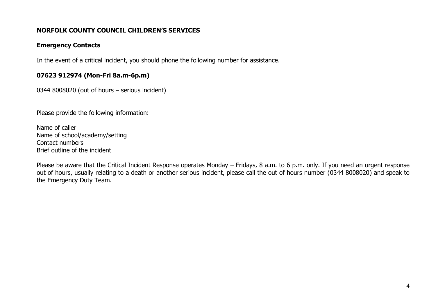# **NORFOLK COUNTY COUNCIL CHILDREN'S SERVICES**

#### **Emergency Contacts**

In the event of a critical incident, you should phone the following number for assistance.

## **07623 912974 (Mon-Fri 8a.m-6p.m)**

0344 8008020 (out of hours – serious incident)

Please provide the following information:

Name of caller Name of school/academy/setting Contact numbers Brief outline of the incident

Please be aware that the Critical Incident Response operates Monday – Fridays, 8 a.m. to 6 p.m. only. If you need an urgent response out of hours, usually relating to a death or another serious incident, please call the out of hours number (0344 8008020) and speak to the Emergency Duty Team.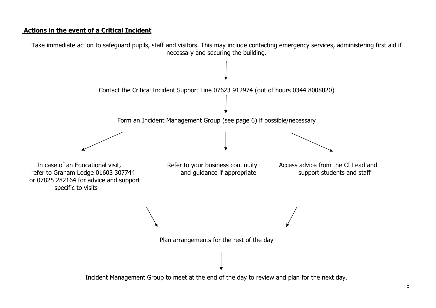## **Actions in the event of a Critical Incident**

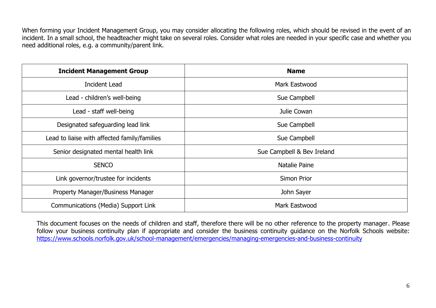When forming your Incident Management Group, you may consider allocating the following roles, which should be revised in the event of an incident. In a small school, the headteacher might take on several roles. Consider what roles are needed in your specific case and whether you need additional roles, e.g. a community/parent link.

| <b>Incident Management Group</b>             | <b>Name</b>                |
|----------------------------------------------|----------------------------|
| <b>Incident Lead</b>                         | Mark Eastwood              |
| Lead - children's well-being                 | Sue Campbell               |
| Lead - staff well-being                      | Julie Cowan                |
| Designated safeguarding lead link            | Sue Campbell               |
| Lead to liaise with affected family/families | Sue Campbell               |
| Senior designated mental health link         | Sue Campbell & Bev Ireland |
| <b>SENCO</b>                                 | Natalie Paine              |
| Link governor/trustee for incidents          | Simon Prior                |
| Property Manager/Business Manager            | John Sayer                 |
| Communications (Media) Support Link          | Mark Eastwood              |

This document focuses on the needs of children and staff, therefore there will be no other reference to the property manager. Please follow your business continuity plan if appropriate and consider the business continuity guidance on the Norfolk Schools website: <https://www.schools.norfolk.gov.uk/school-management/emergencies/managing-emergencies-and-business-continuity>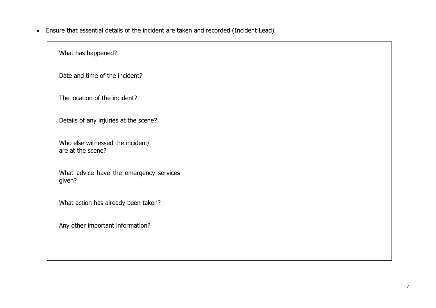Ensure that essential details of the incident are taken and recorded (Incident Lead)

| What has happened?                                    |  |
|-------------------------------------------------------|--|
| Date and time of the incident?                        |  |
| The location of the incident?                         |  |
| Details of any injuries at the scene?                 |  |
| Who else witnessed the incident/<br>are at the scene? |  |
| What advice have the emergency services<br>given?     |  |
| What action has already been taken?                   |  |
| Any other important information?                      |  |
|                                                       |  |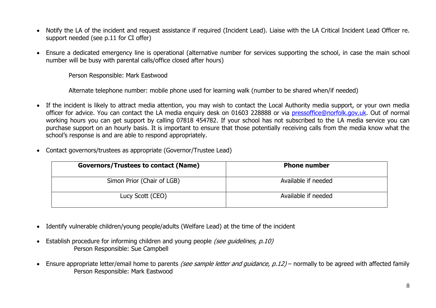- Notify the LA of the incident and request assistance if required (Incident Lead). Liaise with the LA Critical Incident Lead Officer re. support needed (see p.11 for CI offer)
- Ensure a dedicated emergency line is operational (alternative number for services supporting the school, in case the main school number will be busy with parental calls/office closed after hours)

Person Responsible: Mark Eastwood

Alternate telephone number: mobile phone used for learning walk (number to be shared when/if needed)

- If the incident is likely to attract media attention, you may wish to contact the Local Authority media support, or your own media officer for advice. You can contact the LA media enquiry desk on 01603 228888 or via [pressoffice@norfolk.gov.uk.](mailto:pressoffice@norfolk.gov.uk) Out of normal working hours you can get support by calling 07818 454782. If your school has not subscribed to the LA media service you can purchase support on an hourly basis. It is important to ensure that those potentially receiving calls from the media know what the school's response is and are able to respond appropriately.
- Contact governors/trustees as appropriate (Governor/Trustee Lead)

| <b>Governors/Trustees to contact (Name)</b> | <b>Phone number</b> |
|---------------------------------------------|---------------------|
| Simon Prior (Chair of LGB)                  | Available if needed |
| Lucy Scott (CEO)                            | Available if needed |

- Identify vulnerable children/young people/adults (Welfare Lead) at the time of the incident
- Establish procedure for informing children and young people (see guidelines, p.10) Person Responsible: Sue Campbell
- **Ensure appropriate letter/email home to parents** *(see sample letter and quidance, p.12)* **normally to be agreed with affected family** Person Responsible: Mark Eastwood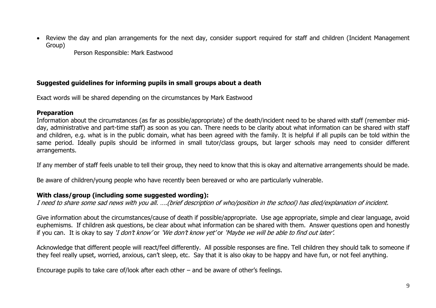• Review the day and plan arrangements for the next day, consider support required for staff and children (Incident Management Group)

Person Responsible: Mark Eastwood

## **Suggested guidelines for informing pupils in small groups about a death**

Exact words will be shared depending on the circumstances by Mark Eastwood

#### **Preparation**

Information about the circumstances (as far as possible/appropriate) of the death/incident need to be shared with staff (remember midday, administrative and part-time staff) as soon as you can. There needs to be clarity about what information can be shared with staff and children, e.g. what is in the public domain, what has been agreed with the family. It is helpful if all pupils can be told within the same period. Ideally pupils should be informed in small tutor/class groups, but larger schools may need to consider different arrangements.

If any member of staff feels unable to tell their group, they need to know that this is okay and alternative arrangements should be made.

Be aware of children/young people who have recently been bereaved or who are particularly vulnerable.

# **With class/group (including some suggested wording):**

I need to share some sad news with you all. ….(brief description of who/position in the school) has died/explanation of incident.

Give information about the circumstances/cause of death if possible/appropriate. Use age appropriate, simple and clear language, avoid euphemisms. If children ask questions, be clear about what information can be shared with them. Answer questions open and honestly if you can. It is okay to say 'I don't know' or 'We don't know yet' or 'Maybe we will be able to find out later'.

Acknowledge that different people will react/feel differently. All possible responses are fine. Tell children they should talk to someone if they feel really upset, worried, anxious, can't sleep, etc. Say that it is also okay to be happy and have fun, or not feel anything.

Encourage pupils to take care of/look after each other – and be aware of other's feelings.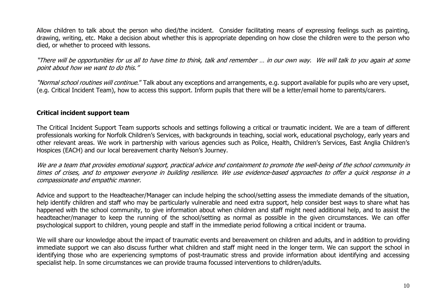Allow children to talk about the person who died/the incident. Consider facilitating means of expressing feelings such as painting, drawing, writing, etc. Make a decision about whether this is appropriate depending on how close the children were to the person who died, or whether to proceed with lessons.

"There will be opportunities for us all to have time to think, talk and remember … in our own way. We will talk to you again at some point about how we want to do this."

"Normal school routines will continue." Talk about any exceptions and arrangements, e.g. support available for pupils who are very upset, (e.g. Critical Incident Team), how to access this support. Inform pupils that there will be a letter/email home to parents/carers.

#### **Critical incident support team**

The Critical Incident Support Team supports schools and settings following a critical or traumatic incident. We are a team of different professionals working for Norfolk Children's Services, with backgrounds in teaching, social work, educational psychology, early years and other relevant areas. We work in partnership with various agencies such as Police, Health, Children's Services, East Anglia Children's Hospices (EACH) and our local bereavement charity Nelson's Journey.

We are a team that provides emotional support, practical advice and containment to promote the well-being of the school community in times of crises, and to empower everyone in building resilience. We use evidence-based approaches to offer a quick response in a compassionate and empathic manner.

Advice and support to the Headteacher/Manager can include helping the school/setting assess the immediate demands of the situation, help identify children and staff who may be particularly vulnerable and need extra support, help consider best ways to share what has happened with the school community, to give information about when children and staff might need additional help, and to assist the headteacher/manager to keep the running of the school/setting as normal as possible in the given circumstances. We can offer psychological support to children, young people and staff in the immediate period following a critical incident or trauma.

We will share our knowledge about the impact of traumatic events and bereavement on children and adults, and in addition to providing immediate support we can also discuss further what children and staff might need in the longer term. We can support the school in identifying those who are experiencing symptoms of post-traumatic stress and provide information about identifying and accessing specialist help. In some circumstances we can provide trauma focussed interventions to children/adults.